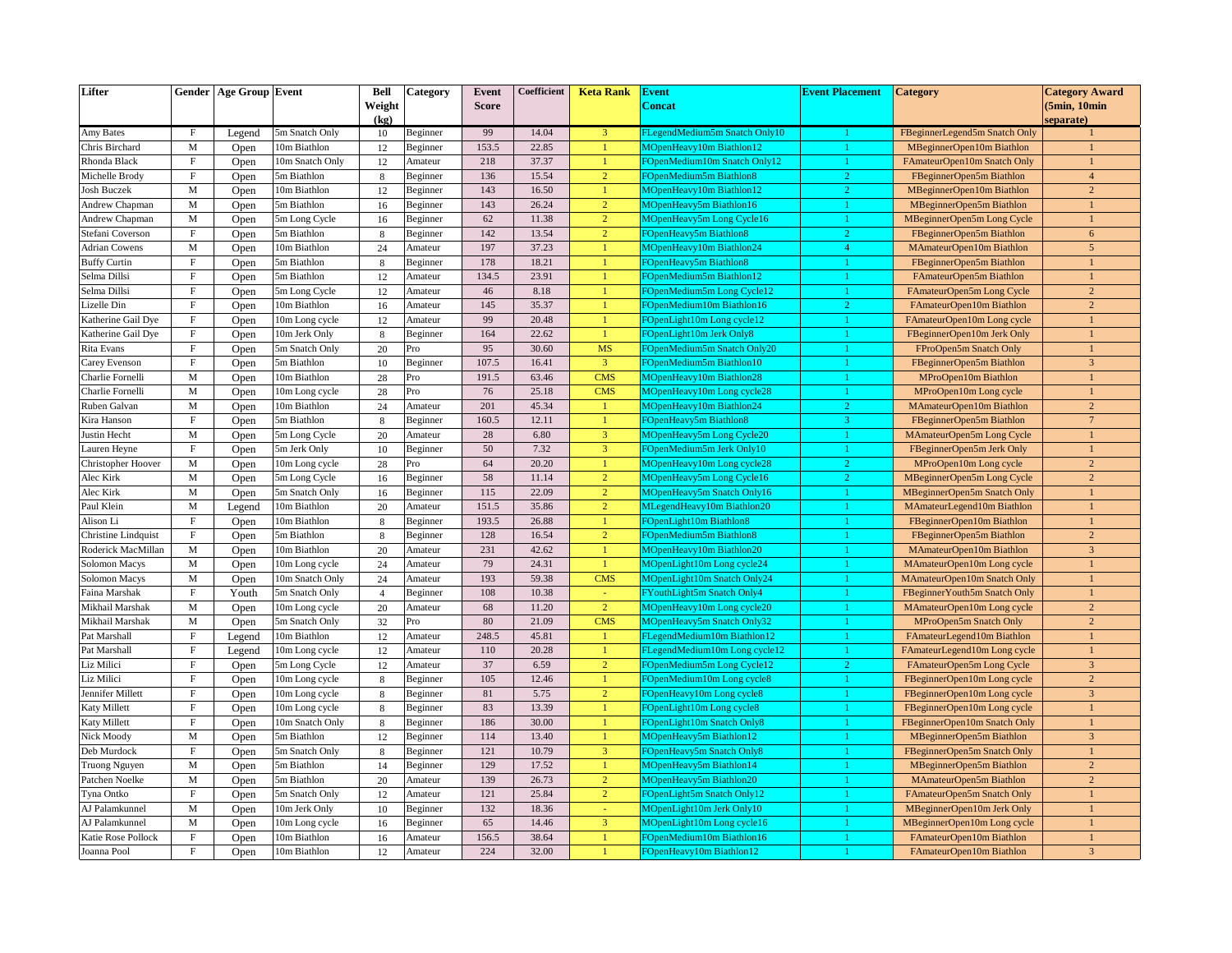| Lifter               |              | <b>Gender   Age Group   Event</b> |                 | <b>Bell</b><br>Weight<br>(kq) | Category | Event<br><b>Score</b> | Coefficient | <b>Keta Rank</b> | <b>Event</b><br><b>Concat</b>     | <b>Event Placement</b> | <b>Category</b>                | <b>Category Award</b><br>(5min, 10min)<br>separate) |
|----------------------|--------------|-----------------------------------|-----------------|-------------------------------|----------|-----------------------|-------------|------------------|-----------------------------------|------------------------|--------------------------------|-----------------------------------------------------|
| Amy Bates            | $_{\rm F}$   | Legend                            | 5m Snatch Only  | 10                            | Beginner | 99                    | 14.04       | $\overline{3}$   | FLegendMedium5m Snatch Only10     | 1                      | FBeginnerLegend5m Snatch Only  |                                                     |
| Chris Birchard       | $\mathbf M$  | Open                              | 10m Biathlon    | 12                            | Beginner | 153.5                 | 22.85       | $\mathbf{1}$     | MOpenHeavy10m Biathlon12          | $\mathbf{1}$           | MBeginnerOpen10m Biathlon      | $\mathbf{1}$                                        |
| Rhonda Black         | $\rm F$      | Open                              | 10m Snatch Only | 12                            | Amateur  | 218                   | 37.37       | $\mathbf{1}$     | FOpenMedium10m Snatch Only12      | $\mathbf{1}$           | FAmateurOpen10m Snatch Only    | $\mathbf{1}$                                        |
| Michelle Brody       | $\mathbf F$  | Open                              | 5m Biathlon     | 8                             | Beginner | 136                   | 15.54       | $\overline{2}$   | FOpenMedium5m Biathlon8           | $\overline{2}$         | FBeginnerOpen5m Biathlon       | $\overline{4}$                                      |
| <b>Josh Buczek</b>   | $\mathbf M$  | Open                              | 10m Biathlon    | 12                            | Beginner | 143                   | 16.50       | $\mathbf{1}$     | MOpenHeavy10m Biathlon12          | $\overline{2}$         | MBeginnerOpen10m Biathlon      | $\overline{2}$                                      |
| Andrew Chapman       | $\mathbf M$  | Open                              | 5m Biathlon     | 16                            | Beginner | 143                   | 26.24       | $\overline{2}$   | MOpenHeavy5m Biathlon16           | $\mathbf{1}$           | MBeginnerOpen5m Biathlon       | $\mathbf{1}$                                        |
| Andrew Chapman       | $\mathbf{M}$ | Open                              | 5m Long Cycle   | 16                            | Beginner | 62                    | 11.38       | $\overline{2}$   | MOpenHeavy5m Long Cycle16         | 1.                     | MBeginnerOpen5m Long Cycle     | $\mathbf{1}$                                        |
| Stefani Coverson     | $\mathbf F$  | Open                              | 5m Biathlon     | 8                             | Beginner | 142                   | 13.54       | $\overline{2}$   | <b>FOpenHeavy5m Biathlon8</b>     | $\overline{2}$         | FBeginnerOpen5m Biathlon       | 6                                                   |
| <b>Adrian Cowens</b> | M            | Open                              | 10m Biathlon    | 24                            | Amateur  | 197                   | 37.23       | $\mathbf{1}$     | MOpenHeavy10m Biathlon24          | 4                      | MAmateurOpen10m Biathlon       | $\overline{5}$                                      |
| <b>Buffy Curtin</b>  | $\mathbf F$  | Open                              | 5m Biathlon     | 8                             | Beginner | 178                   | 18.21       | $\mathbf{1}$     | <b>FOpenHeavy5m Biathlon8</b>     | $\overline{1}$         | FBeginnerOpen5m Biathlon       | $\mathbf{1}$                                        |
| Selma Dillsi         | $\mathbf F$  | Open                              | 5m Biathlon     | 12                            | Amateur  | 134.5                 | 23.91       | $\mathbf{1}$     | FOpenMedium5m Biathlon12          | $\mathbf{1}$           | FAmateurOpen5m Biathlon        | $\mathbf{1}$                                        |
| Selma Dillsi         | $\mathbf F$  | Open                              | 5m Long Cycle   | 12                            | Amateur  | 46                    | 8.18        | -1               | FOpenMedium5m Long Cycle12        | 1                      | FAmateurOpen5m Long Cycle      | $\overline{2}$                                      |
| Lizelle Din          | $\mathbf F$  | Open                              | 10m Biathlon    | 16                            | Amateur  | 145                   | 35.37       | $\mathbf{1}$     | FOpenMedium10m Biathlon16         | $\overline{2}$         | FAmateurOpen10m Biathlon       | $\overline{2}$                                      |
| Katherine Gail Dye   | $\mathbf F$  | Open                              | 10m Long cycle  | 12                            | Amateur  | 99                    | 20.48       | $\mathbf{1}$     | FOpenLight10m Long cycle12        |                        | FAmateurOpen10m Long cycle     | $\overline{1}$                                      |
| Katherine Gail Dye   | $\mathbf F$  | Open                              | 10m Jerk Only   | 8                             | Beginner | 164                   | 22.62       | $\overline{1}$   | FOpenLight10m Jerk Only8          | $\mathbf{1}$           | FBeginnerOpen10m Jerk Only     | $\mathbf{1}$                                        |
| Rita Evans           | $\mathbf F$  | Open                              | 5m Snatch Only  | 20                            | Pro      | 95                    | 30.60       | <b>MS</b>        | FOpenMedium5m Snatch Only20       | 1                      | FProOpen5m Snatch Only         | $\mathbf{1}$                                        |
| Carey Evenson        | $\mathbf F$  | Open                              | 5m Biathlon     | 10                            | Beginner | 107.5                 | 16.41       | $\overline{3}$   | FOpenMedium5m Biathlon10          | 1                      | FBeginnerOpen5m Biathlon       | $\overline{3}$                                      |
| Charlie Fornelli     | $\mathbf M$  | Open                              | 10m Biathlon    | 28                            | Pro      | 191.5                 | 63.46       | <b>CMS</b>       | MOpenHeavy10m Biathlon28          |                        | MProOpen10m Biathlon           | $\overline{1}$                                      |
| Charlie Fornelli     | $\mathbf M$  | Open                              | 10m Long cycle  | 28                            | Pro      | 76                    | 25.18       | <b>CMS</b>       | MOpenHeavy10m Long cycle28        | $\mathbf{1}$           | MProOpen10m Long cycle         | $\mathbf{1}$                                        |
| Ruben Galvan         | $\mathbf M$  | Open                              | 10m Biathlon    | 24                            | Amateur  | 201                   | 45.34       | $\mathbf{1}$     | MOpenHeavy10m Biathlon24          | $\overline{2}$         | MAmateurOpen10m Biathlon       | $\overline{c}$                                      |
| Kira Hanson          | $\mathbf F$  | Open                              | 5m Biathlon     | 8                             | Beginner | 160.5                 | 12.11       | $\mathbf{1}$     | FOpenHeavy5m Biathlon8            | $\mathbf{3}$           | FBeginnerOpen5m Biathlon       | $7\phantom{.0}$                                     |
| Justin Hecht         | $\mathbf M$  | Open                              | 5m Long Cycle   | 20                            | Amateur  | 28                    | 6.80        | $\overline{3}$   | MOpenHeavy5m Long Cycle20         |                        | MAmateurOpen5m Long Cycle      | $\mathbf{1}$                                        |
| Lauren Heyne         | $\mathbf F$  | Open                              | 5m Jerk Only    | 10                            | Beginner | 50                    | 7.32        | $\overline{3}$   | FOpenMedium5m Jerk Only10         | 1                      | FBeginnerOpen5m Jerk Only      | $\overline{1}$                                      |
| Christopher Hoover   | $\mathbf M$  | Open                              | 10m Long cycle  | 28                            | Pro      | 64                    | 20.20       | $\mathbf{1}$     | MOpenHeavy10m Long cycle28        | $\overline{2}$         | MProOpen10m Long cycle         | $\overline{2}$                                      |
| Alec Kirk            | $\mathbf M$  | Open                              | 5m Long Cycle   | 16                            | Beginner | 58                    | 11.14       | $\overline{2}$   | MOpenHeavy5m Long Cycle16         | $\overline{2}$         | MBeginnerOpen5m Long Cycle     | $\overline{2}$                                      |
| Alec Kirk            | $\mathbf M$  | Open                              | 5m Snatch Only  | 16                            | Beginner | 115                   | 22.09       | $\overline{2}$   | MOpenHeavy5m Snatch Only16        | 1                      | MBeginnerOpen5m Snatch Only    | $\mathbf{1}$                                        |
| Paul Klein           | $\mathbf M$  | Legend                            | 10m Biathlon    | 20                            | Amateur  | 151.5                 | 35.86       | $\overline{2}$   | MLegendHeavy10m Biathlon20        | 1                      | MAmateurLegend10m Biathlon     | $\mathbf{1}$                                        |
| Alison Li            | $\rm F$      | Open                              | 10m Biathlon    | 8                             | Beginner | 193.5                 | 26.88       | -1               | FOpenLight10m Biathlon8           | 1                      | FBeginnerOpen10m Biathlon      | $\mathbf{1}$                                        |
| Christine Lindquist  | $_{\rm F}$   | Open                              | 5m Biathlon     | 8                             | Beginner | 128                   | 16.54       | $\overline{2}$   | FOpenMedium5m Biathlon8           | 1                      | FBeginnerOpen5m Biathlon       | $\overline{2}$                                      |
| Roderick MacMillan   | $\mathbf M$  | Open                              | 10m Biathlon    | 20                            | Amateur  | 231                   | 42.62       | $\mathbf{1}$     | MOpenHeavy10m Biathlon20          |                        | MAmateurOpen10m Biathlon       | $\overline{3}$                                      |
| Solomon Macys        | $\mathbf M$  | Open                              | 10m Long cycle  | 24                            | Amateur  | 79                    | 24.31       | $\mathbf{1}$     | MOpenLight10m Long cycle24        |                        | MAmateurOpen10m Long cycle     | $\overline{1}$                                      |
| Solomon Macys        | $\mathbf M$  | Open                              | 10m Snatch Only | 24                            | Amateur  | 193                   | 59.38       | <b>CMS</b>       | MOpenLight10m Snatch Only24       | $\mathbf{1}$           | MAmateurOpen10m Snatch Only    | $\mathbf{1}$                                        |
| Faina Marshak        | $\rm F$      | Youth                             | 5m Snatch Only  | $\overline{4}$                | Beginner | 108                   | 10.38       | $\sim$           | <b>FYouthLight5m Snatch Only4</b> | 1                      | FBeginner Youth 5m Snatch Only | $\mathbf{1}$                                        |
| Mikhail Marshak      | M            | Open                              | 10m Long cycle  | 20                            | Amateur  | 68                    | 11.20       | $\overline{2}$   | MOpenHeavy10m Long cycle20        | 1                      | MAmateurOpen10m Long cycle     | $\overline{2}$                                      |
| Mikhail Marshak      | M            | Open                              | 5m Snatch Only  | 32                            | Pro      | 80                    | 21.09       | <b>CMS</b>       | MOpenHeavy5m Snatch Only32        | 1                      | MProOpen5m Snatch Only         | $\overline{2}$                                      |
| Pat Marshall         | $\mathbf F$  | Legend                            | 10m Biathlon    | 12                            | Amateur  | 248.5                 | 45.81       | $\overline{1}$   | FLegendMedium10m Biathlon12       | $\overline{1}$         | FAmateurLegend10m Biathlon     | $\mathbf{1}$                                        |
| Pat Marshall         | $\mathbf F$  | Legend                            | 10m Long cycle  | 12                            | Amateur  | 110                   | 20.28       | $\mathbf{1}$     | FLegendMedium10m Long cycle12     | $\mathbf{1}$           | FAmateurLegend10m Long cycle   | $\mathbf{1}$                                        |
| Liz Milici           | $\mathbf F$  | Open                              | 5m Long Cycle   | 12                            | Amateur  | 37                    | 6.59        | $\overline{2}$   | FOpenMedium5m Long Cycle12        | $\overline{2}$         | FAmateurOpen5m Long Cycle      | $\overline{3}$                                      |
| Liz Milici           | $\mathbf F$  | Open                              | 10m Long cycle  | 8                             | Beginner | 105                   | 12.46       | $\mathbf{1}$     | FOpenMedium10m Long cycle8        | $\mathbf{1}$           | FBeginnerOpen10m Long cycle    | $\overline{2}$                                      |
| Jennifer Millett     | $\mathbf F$  | Open                              | 10m Long cycle  | 8                             | Beginner | 81                    | 5.75        | $\overline{2}$   | FOpenHeavy10m Long cycle8         |                        | FBeginnerOpen10m Long cycle    | $\overline{3}$                                      |
| <b>Katy Millett</b>  | F            | Open                              | 10m Long cycle  | 8                             | Beginner | 83                    | 13.39       | $\overline{1}$   | FOpenLight10m Long cycle8         | $\mathbf{1}$           | FBeginnerOpen10m Long cycle    | $\mathbf{1}$                                        |
| Katy Millett         | $\mathbf F$  | Open                              | 10m Snatch Only | 8                             | Beginner | 186                   | 30.00       | $\mathbf{1}$     | FOpenLight10m Snatch Only8        | 1                      | FBeginnerOpen10m Snatch Only   | $\mathbf{1}$                                        |
| Nick Moody           | $\mathbf M$  | Open                              | 5m Biathlon     | 12                            | Beginner | 114                   | 13.40       | $\mathbf{1}$     | MOpenHeavy5m Biathlon12           | 1                      | MBeginnerOpen5m Biathlon       | $\overline{3}$                                      |
| Deb Murdock          | $\mathbf F$  | Open                              | 5m Snatch Only  | 8                             | Beginner | 121                   | 10.79       | $\overline{3}$   | FOpenHeavy5m Snatch Only8         |                        | FBeginnerOpen5m Snatch Only    | $\mathbf{1}$                                        |
| <b>Truong Nguyen</b> | $\mathbf M$  | Open                              | 5m Biathlon     | 14                            | Beginner | 129                   | 17.52       | $\overline{1}$   | MOpenHeavy5m Biathlon14           | $\mathbf{1}$           | MBeginnerOpen5m Biathlon       | $\overline{2}$                                      |
| Patchen Noelke       | $\mathbf M$  | Open                              | 5m Biathlon     | 20                            | Amateur  | 139                   | 26.73       | $\overline{2}$   | MOpenHeavy5m Biathlon20           | 1                      | MAmateurOpen5m Biathlon        | $\overline{2}$                                      |
| Tyna Ontko           | $\mathbf F$  | Open                              | 5m Snatch Only  | 12                            | Amateur  | 121                   | 25.84       | $\overline{2}$   | FOpenLight5m Snatch Only12        | 1                      | FAmateurOpen5m Snatch Only     | $\mathbf{1}$                                        |
| AJ Palamkunnel       | M            | Open                              | 10m Jerk Only   | 10                            | Beginner | 132                   | 18.36       |                  | MOpenLight10m Jerk Only10         |                        | MBeginnerOpen10m Jerk Only     | $\mathbf{1}$                                        |
| AJ Palamkunnel       | $\mathbf M$  | Open                              | 10m Long cycle  | 16                            | Beginner | 65                    | 14.46       | $\overline{3}$   | MOpenLight10m Long cycle16        | $\mathbf{1}$           | MBeginnerOpen10m Long cycle    | $\mathbf{1}$                                        |
| Katie Rose Pollock   | $\rm F$      | Open                              | 10m Biathlon    | 16                            | Amateur  | 156.5                 | 38.64       | $\mathbf{1}$     | FOpenMedium10m Biathlon16         | $\mathbf{1}$           | FAmateurOpen10m Biathlon       | $\mathbf{1}$                                        |
| Joanna Pool          | $\mathbf F$  | Open                              | 10m Biathlon    | 12                            | Amateur  | 224                   | 32.00       | $\mathbf{1}$     | FOpenHeavy10m Biathlon12          | $\mathbf{1}$           | FAmateurOpen10m Biathlon       | $\overline{3}$                                      |